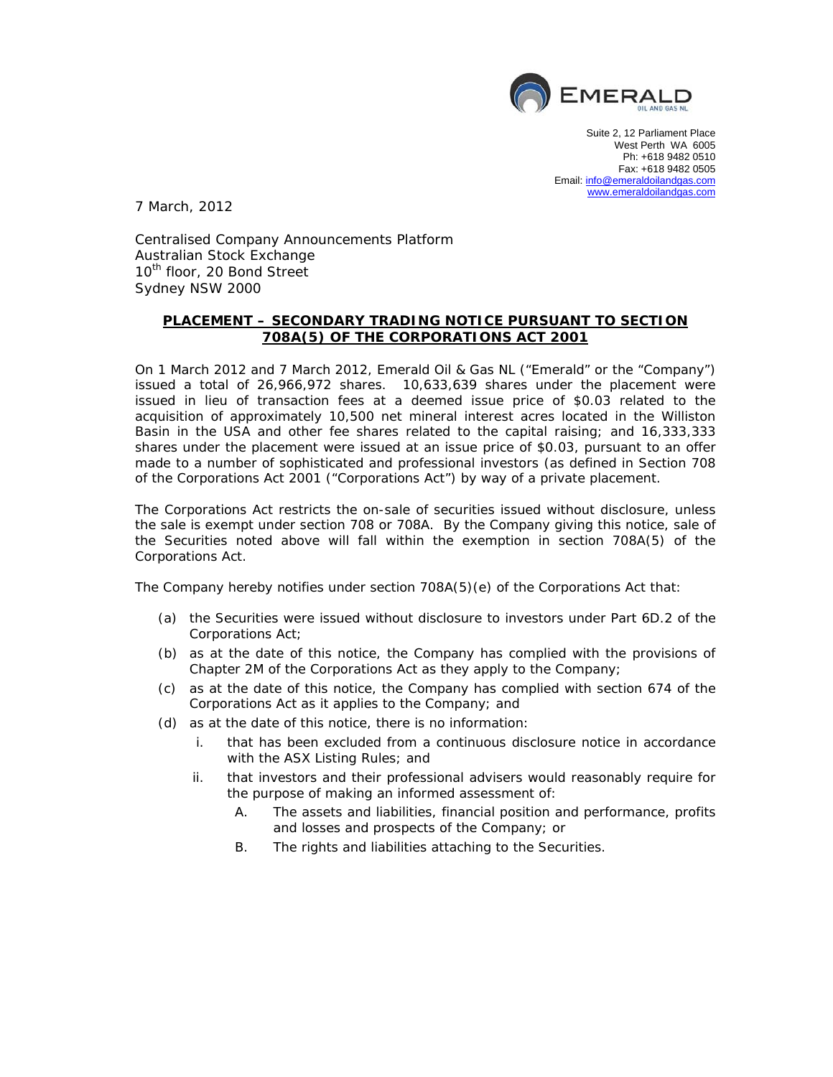

Suite 2, 12 Parliament Place West Perth WA 6005 Ph: +618 9482 0510 Fax: +618 9482 0505 Email: info@emeraldoilandgas.com www.emeraldoilandgas.com

7 March, 2012

Centralised Company Announcements Platform Australian Stock Exchange 10<sup>th</sup> floor, 20 Bond Street Sydney NSW 2000

## **PLACEMENT – SECONDARY TRADING NOTICE PURSUANT TO SECTION 708A(5) OF THE CORPORATIONS ACT 2001**

On 1 March 2012 and 7 March 2012, Emerald Oil & Gas NL ("Emerald" or the "Company") issued a total of 26,966,972 shares. 10,633,639 shares under the placement were issued in lieu of transaction fees at a deemed issue price of \$0.03 related to the acquisition of approximately 10,500 net mineral interest acres located in the Williston Basin in the USA and other fee shares related to the capital raising; and 16,333,333 shares under the placement were issued at an issue price of \$0.03, pursuant to an offer made to a number of sophisticated and professional investors (as defined in Section 708 of the Corporations Act 2001 ("Corporations Act") by way of a private placement.

The Corporations Act restricts the on-sale of securities issued without disclosure, unless the sale is exempt under section 708 or 708A. By the Company giving this notice, sale of the Securities noted above will fall within the exemption in section 708A(5) of the Corporations Act.

The Company hereby notifies under section 708A(5)(e) of the Corporations Act that:

- (a) the Securities were issued without disclosure to investors under Part 6D.2 of the Corporations Act;
- (b) as at the date of this notice, the Company has complied with the provisions of Chapter 2M of the Corporations Act as they apply to the Company;
- (c) as at the date of this notice, the Company has complied with section 674 of the Corporations Act as it applies to the Company; and
- (d) as at the date of this notice, there is no information:
	- i. that has been excluded from a continuous disclosure notice in accordance with the ASX Listing Rules; and
	- ii. that investors and their professional advisers would reasonably require for the purpose of making an informed assessment of:
		- A. The assets and liabilities, financial position and performance, profits and losses and prospects of the Company; or
		- B. The rights and liabilities attaching to the Securities.